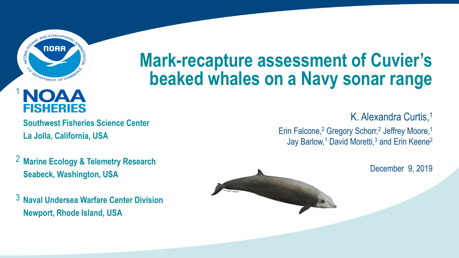

# FISHERIES

1

**Southwest Fisheries Science Center La Jolla, California, USA**

- **Marine Ecology & Telemetry Research** 2 **Seabeck, Washington, USA**
- $^3$  Naval Undersea Warfare Center Division **Newport, Rhode Island, USA**

## **Mark-recapture assessment of Cuvier's beaked whales on a Navy sonar range**

K. Alexandra Curtis,<sup>1</sup> Erin Falcone,<sup>2</sup> Gregory Schorr,<sup>2</sup> Jeffrey Moore,<sup>1</sup> Jay Barlow,<sup>1</sup> David Moretti,<sup>3</sup> and Erin Keene<sup>2</sup>

December 9, 2019

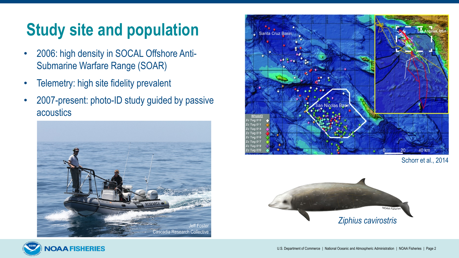## **Study site and population**

- 2006: high density in SOCAL Offshore Anti-Submarine Warfare Range (SOAR)
- Telemetry: high site fidelity prevalent
- 2007-present: photo-ID study guided by passive acoustics





Schorr et al., 2014



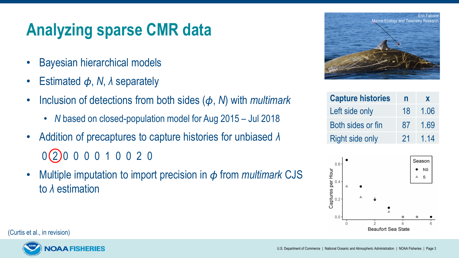## **Analyzing sparse CMR data**

- Bayesian hierarchical models
- Estimated *ϕ*, *N*, *λ* separately
- Inclusion of detections from both sides (*ϕ*, *N*) with *multimark*
	- *N* based on closed-population model for Aug 2015 Jul 2018
- Addition of precaptures to capture histories for unbiased *λ* 0 2 0 0 0 0 1 0 0 2 0
- Multiple imputation to import precision in *ϕ* from *multimark* CJS to *λ* estimation



| <b>Capture histories</b> | n  | X    |
|--------------------------|----|------|
| Left side only           | 18 | 1.06 |
| Both sides or fin        | 87 | 1.69 |
| <b>Right side only</b>   | 21 | 1.14 |



(Curtis et al., in revision)

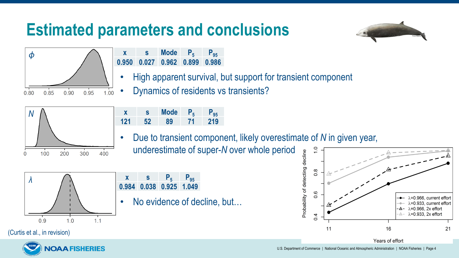#### **Estimated parameters and conclusions**





- **x s Mode**  $P_5$  **P**<sub>95</sub> **0.950 0.027 0.962 0.899 0.986**
- High apparent survival, but support for transient component
- Dynamics of residents vs transients?



- **x s Mode P5 P95 121 52 89 71 219**
- Due to transient component, likely overestimate of *N* in given year, underestimate of super-*N* over whole period



- **x s P**<sub>5</sub> **P**<sub>95</sub> **0.984 0.038 0.925 1.049**
- No evidence of decline, but...



Years of effort

**AAFISHERIES** 

(Curtis et al., in revision)

U.S. Department of Commerce | National Oceanic and Atmospheric Administration | NOAA Fisheries | Page 4